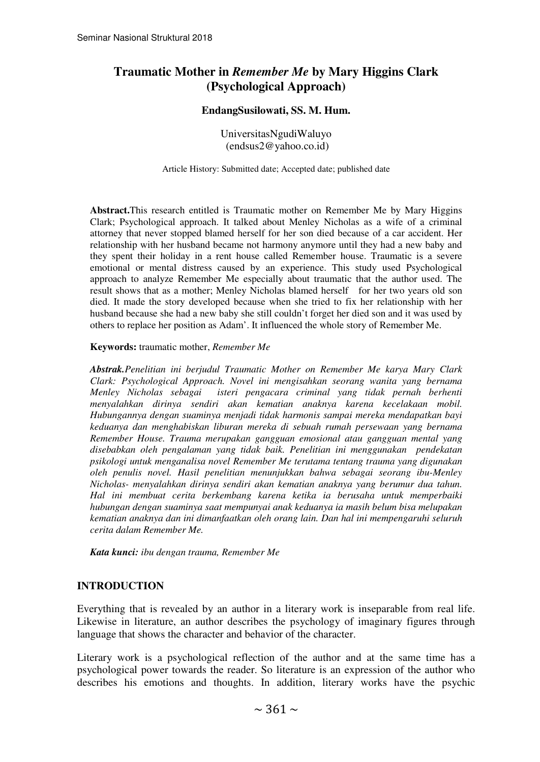# **Traumatic Mother in** *Remember Me* **by Mary Higgins Clark (Psychological Approach)**

#### **EndangSusilowati, SS. M. Hum.**

UniversitasNgudiWaluyo (endsus2@yahoo.co.id)

Article History: Submitted date; Accepted date; published date

**Abstract.**This research entitled is Traumatic mother on Remember Me by Mary Higgins Clark; Psychological approach. It talked about Menley Nicholas as a wife of a criminal attorney that never stopped blamed herself for her son died because of a car accident. Her relationship with her husband became not harmony anymore until they had a new baby and they spent their holiday in a rent house called Remember house. Traumatic is a severe emotional or mental distress caused by an experience. This study used Psychological approach to analyze Remember Me especially about traumatic that the author used. The result shows that as a mother; Menley Nicholas blamed herself for her two years old son died. It made the story developed because when she tried to fix her relationship with her husband because she had a new baby she still couldn't forget her died son and it was used by others to replace her position as Adam'. It influenced the whole story of Remember Me.

#### **Keywords:** traumatic mother, *Remember Me*

*Abstrak.Penelitian ini berjudul Traumatic Mother on Remember Me karya Mary Clark Clark: Psychological Approach. Novel ini mengisahkan seorang wanita yang bernama Menley Nicholas sebagai isteri pengacara criminal yang tidak pernah berhenti menyalahkan dirinya sendiri akan kematian anaknya karena kecelakaan mobil. Hubungannya dengan suaminya menjadi tidak harmonis sampai mereka mendapatkan bayi keduanya dan menghabiskan liburan mereka di sebuah rumah persewaan yang bernama Remember House. Trauma merupakan gangguan emosional atau gangguan mental yang disebabkan oleh pengalaman yang tidak baik. Penelitian ini menggunakan pendekatan psikologi untuk menganalisa novel Remember Me terutama tentang trauma yang digunakan oleh penulis novel. Hasil penelitian menunjukkan bahwa sebagai seorang ibu-Menley Nicholas- menyalahkan dirinya sendiri akan kematian anaknya yang berumur dua tahun. Hal ini membuat cerita berkembang karena ketika ia berusaha untuk memperbaiki hubungan dengan suaminya saat mempunyai anak keduanya ia masih belum bisa melupakan kematian anaknya dan ini dimanfaatkan oleh orang lain. Dan hal ini mempengaruhi seluruh cerita dalam Remember Me.* 

*Kata kunci: ibu dengan trauma, Remember Me* 

#### **INTRODUCTION**

Everything that is revealed by an author in a literary work is inseparable from real life. Likewise in literature, an author describes the psychology of imaginary figures through language that shows the character and behavior of the character.

Literary work is a psychological reflection of the author and at the same time has a psychological power towards the reader. So literature is an expression of the author who describes his emotions and thoughts. In addition, literary works have the psychic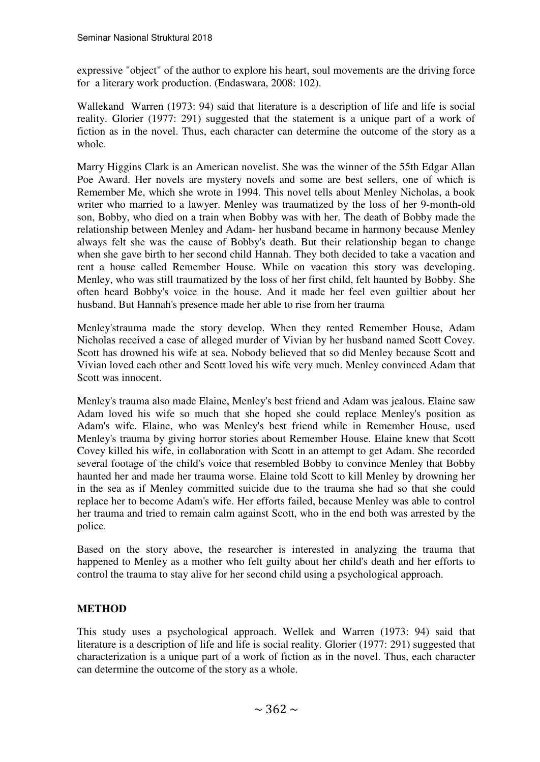expressive "object" of the author to explore his heart, soul movements are the driving force for a literary work production. (Endaswara, 2008: 102).

Wallekand Warren (1973: 94) said that literature is a description of life and life is social reality. Glorier (1977: 291) suggested that the statement is a unique part of a work of fiction as in the novel. Thus, each character can determine the outcome of the story as a whole.

Marry Higgins Clark is an American novelist. She was the winner of the 55th Edgar Allan Poe Award. Her novels are mystery novels and some are best sellers, one of which is Remember Me, which she wrote in 1994. This novel tells about Menley Nicholas, a book writer who married to a lawyer. Menley was traumatized by the loss of her 9-month-old son, Bobby, who died on a train when Bobby was with her. The death of Bobby made the relationship between Menley and Adam- her husband became in harmony because Menley always felt she was the cause of Bobby's death. But their relationship began to change when she gave birth to her second child Hannah. They both decided to take a vacation and rent a house called Remember House. While on vacation this story was developing. Menley, who was still traumatized by the loss of her first child, felt haunted by Bobby. She often heard Bobby's voice in the house. And it made her feel even guiltier about her husband. But Hannah's presence made her able to rise from her trauma

Menley'strauma made the story develop. When they rented Remember House, Adam Nicholas received a case of alleged murder of Vivian by her husband named Scott Covey. Scott has drowned his wife at sea. Nobody believed that so did Menley because Scott and Vivian loved each other and Scott loved his wife very much. Menley convinced Adam that Scott was innocent.

Menley's trauma also made Elaine, Menley's best friend and Adam was jealous. Elaine saw Adam loved his wife so much that she hoped she could replace Menley's position as Adam's wife. Elaine, who was Menley's best friend while in Remember House, used Menley's trauma by giving horror stories about Remember House. Elaine knew that Scott Covey killed his wife, in collaboration with Scott in an attempt to get Adam. She recorded several footage of the child's voice that resembled Bobby to convince Menley that Bobby haunted her and made her trauma worse. Elaine told Scott to kill Menley by drowning her in the sea as if Menley committed suicide due to the trauma she had so that she could replace her to become Adam's wife. Her efforts failed, because Menley was able to control her trauma and tried to remain calm against Scott, who in the end both was arrested by the police.

Based on the story above, the researcher is interested in analyzing the trauma that happened to Menley as a mother who felt guilty about her child's death and her efforts to control the trauma to stay alive for her second child using a psychological approach.

## **METHOD**

This study uses a psychological approach. Wellek and Warren (1973: 94) said that literature is a description of life and life is social reality. Glorier (1977: 291) suggested that characterization is a unique part of a work of fiction as in the novel. Thus, each character can determine the outcome of the story as a whole.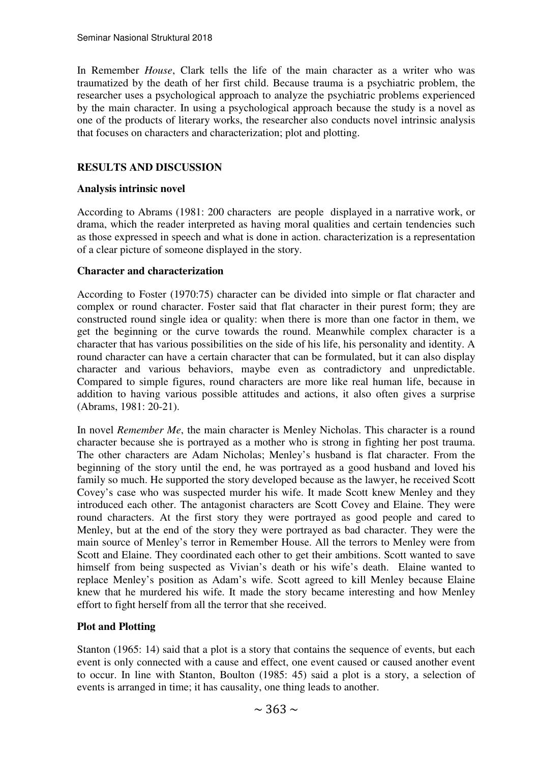In Remember *House*, Clark tells the life of the main character as a writer who was traumatized by the death of her first child. Because trauma is a psychiatric problem, the researcher uses a psychological approach to analyze the psychiatric problems experienced by the main character. In using a psychological approach because the study is a novel as one of the products of literary works, the researcher also conducts novel intrinsic analysis that focuses on characters and characterization; plot and plotting.

### **RESULTS AND DISCUSSION**

#### **Analysis intrinsic novel**

According to Abrams (1981: 200 characters are people displayed in a narrative work, or drama, which the reader interpreted as having moral qualities and certain tendencies such as those expressed in speech and what is done in action. characterization is a representation of a clear picture of someone displayed in the story.

#### **Character and characterization**

According to Foster (1970:75) character can be divided into simple or flat character and complex or round character. Foster said that flat character in their purest form; they are constructed round single idea or quality: when there is more than one factor in them, we get the beginning or the curve towards the round. Meanwhile complex character is a character that has various possibilities on the side of his life, his personality and identity. A round character can have a certain character that can be formulated, but it can also display character and various behaviors, maybe even as contradictory and unpredictable. Compared to simple figures, round characters are more like real human life, because in addition to having various possible attitudes and actions, it also often gives a surprise (Abrams, 1981: 20-21).

In novel *Remember Me*, the main character is Menley Nicholas. This character is a round character because she is portrayed as a mother who is strong in fighting her post trauma. The other characters are Adam Nicholas; Menley's husband is flat character. From the beginning of the story until the end, he was portrayed as a good husband and loved his family so much. He supported the story developed because as the lawyer, he received Scott Covey's case who was suspected murder his wife. It made Scott knew Menley and they introduced each other. The antagonist characters are Scott Covey and Elaine. They were round characters. At the first story they were portrayed as good people and cared to Menley, but at the end of the story they were portrayed as bad character. They were the main source of Menley's terror in Remember House. All the terrors to Menley were from Scott and Elaine. They coordinated each other to get their ambitions. Scott wanted to save himself from being suspected as Vivian's death or his wife's death. Elaine wanted to replace Menley's position as Adam's wife. Scott agreed to kill Menley because Elaine knew that he murdered his wife. It made the story became interesting and how Menley effort to fight herself from all the terror that she received.

### **Plot and Plotting**

Stanton (1965: 14) said that a plot is a story that contains the sequence of events, but each event is only connected with a cause and effect, one event caused or caused another event to occur. In line with Stanton, Boulton (1985: 45) said a plot is a story, a selection of events is arranged in time; it has causality, one thing leads to another.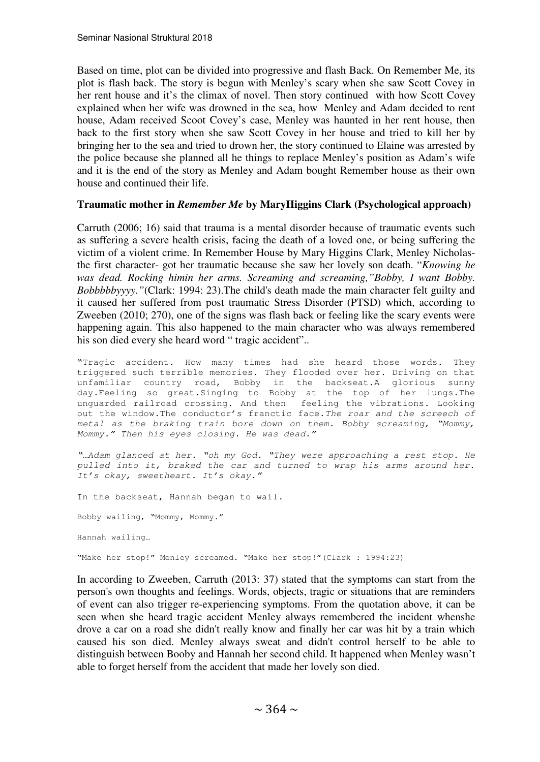Based on time, plot can be divided into progressive and flash Back. On Remember Me, its plot is flash back. The story is begun with Menley's scary when she saw Scott Covey in her rent house and it's the climax of novel. Then story continued with how Scott Covey explained when her wife was drowned in the sea, how Menley and Adam decided to rent house, Adam received Scoot Covey's case, Menley was haunted in her rent house, then back to the first story when she saw Scott Covey in her house and tried to kill her by bringing her to the sea and tried to drown her, the story continued to Elaine was arrested by the police because she planned all he things to replace Menley's position as Adam's wife and it is the end of the story as Menley and Adam bought Remember house as their own house and continued their life.

#### **Traumatic mother in** *Remember Me* **by MaryHiggins Clark (Psychological approach)**

Carruth (2006; 16) said that trauma is a mental disorder because of traumatic events such as suffering a severe health crisis, facing the death of a loved one, or being suffering the victim of a violent crime. In Remember House by Mary Higgins Clark, Menley Nicholasthe first character- got her traumatic because she saw her lovely son death. "*Knowing he was dead. Rocking himin her arms. Screaming and screaming,"Bobby, I want Bobby. Bobbbbbyyyy."*(Clark: 1994: 23).The child's death made the main character felt guilty and it caused her suffered from post traumatic Stress Disorder (PTSD) which, according to Zweeben (2010; 270), one of the signs was flash back or feeling like the scary events were happening again. This also happened to the main character who was always remembered his son died every she heard word " tragic accident"..

"Tragic accident. How many times had she heard those words. They triggered such terrible memories. They flooded over her. Driving on that unfamiliar country road, Bobby in the backseat.A glorious sunny day.Feeling so great.Singing to Bobby at the top of her lungs.The unguarded railroad crossing. And then feeling the vibrations. Looking out the window.The conductor's franctic face.The roar and the screech of metal as the braking train bore down on them. Bobby screaming, "Mommy, Mommy." Then his eyes closing. He was dead."

"…Adam glanced at her. "oh my God. "They were approaching a rest stop. He pulled into it, braked the car and turned to wrap his arms around her. It's okay, sweetheart. It's okay."

In the backseat, Hannah began to wail.

Bobby wailing, "Mommy, Mommy."

Hannah wailing…

"Make her stop!" Menley screamed. "Make her stop!"(Clark : 1994:23)

In according to Zweeben, Carruth (2013: 37) stated that the symptoms can start from the person's own thoughts and feelings. Words, objects, tragic or situations that are reminders of event can also trigger re-experiencing symptoms. From the quotation above, it can be seen when she heard tragic accident Menley always remembered the incident whenshe drove a car on a road she didn't really know and finally her car was hit by a train which caused his son died. Menley always sweat and didn't control herself to be able to distinguish between Booby and Hannah her second child. It happened when Menley wasn't able to forget herself from the accident that made her lovely son died.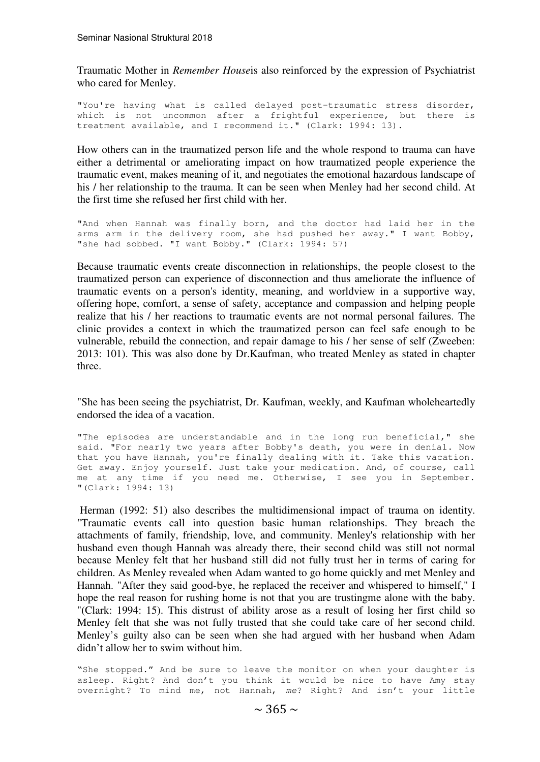Traumatic Mother in *Remember House*is also reinforced by the expression of Psychiatrist who cared for Menley.

"You're having what is called delayed post-traumatic stress disorder, which is not uncommon after a frightful experience, but there is treatment available, and I recommend it." (Clark: 1994: 13).

How others can in the traumatized person life and the whole respond to trauma can have either a detrimental or ameliorating impact on how traumatized people experience the traumatic event, makes meaning of it, and negotiates the emotional hazardous landscape of his / her relationship to the trauma. It can be seen when Menley had her second child. At the first time she refused her first child with her.

"And when Hannah was finally born, and the doctor had laid her in the arms arm in the delivery room, she had pushed her away." I want Bobby, "she had sobbed. "I want Bobby." (Clark: 1994: 57)

Because traumatic events create disconnection in relationships, the people closest to the traumatized person can experience of disconnection and thus ameliorate the influence of traumatic events on a person's identity, meaning, and worldview in a supportive way, offering hope, comfort, a sense of safety, acceptance and compassion and helping people realize that his / her reactions to traumatic events are not normal personal failures. The clinic provides a context in which the traumatized person can feel safe enough to be vulnerable, rebuild the connection, and repair damage to his / her sense of self (Zweeben: 2013: 101). This was also done by Dr.Kaufman, who treated Menley as stated in chapter three.

"She has been seeing the psychiatrist, Dr. Kaufman, weekly, and Kaufman wholeheartedly endorsed the idea of a vacation.

"The episodes are understandable and in the long run beneficial," she said. "For nearly two years after Bobby's death, you were in denial. Now that you have Hannah, you're finally dealing with it. Take this vacation. Get away. Enjoy yourself. Just take your medication. And, of course, call me at any time if you need me. Otherwise, I see you in September. "(Clark: 1994: 13)

 Herman (1992: 51) also describes the multidimensional impact of trauma on identity. "Traumatic events call into question basic human relationships. They breach the attachments of family, friendship, love, and community. Menley's relationship with her husband even though Hannah was already there, their second child was still not normal because Menley felt that her husband still did not fully trust her in terms of caring for children. As Menley revealed when Adam wanted to go home quickly and met Menley and Hannah. "After they said good-bye, he replaced the receiver and whispered to himself," I hope the real reason for rushing home is not that you are trustingme alone with the baby. "(Clark: 1994: 15). This distrust of ability arose as a result of losing her first child so Menley felt that she was not fully trusted that she could take care of her second child. Menley's guilty also can be seen when she had argued with her husband when Adam didn't allow her to swim without him.

"She stopped." And be sure to leave the monitor on when your daughter is asleep. Right? And don't you think it would be nice to have Amy stay overnight? To mind me, not Hannah, me? Right? And isn't your little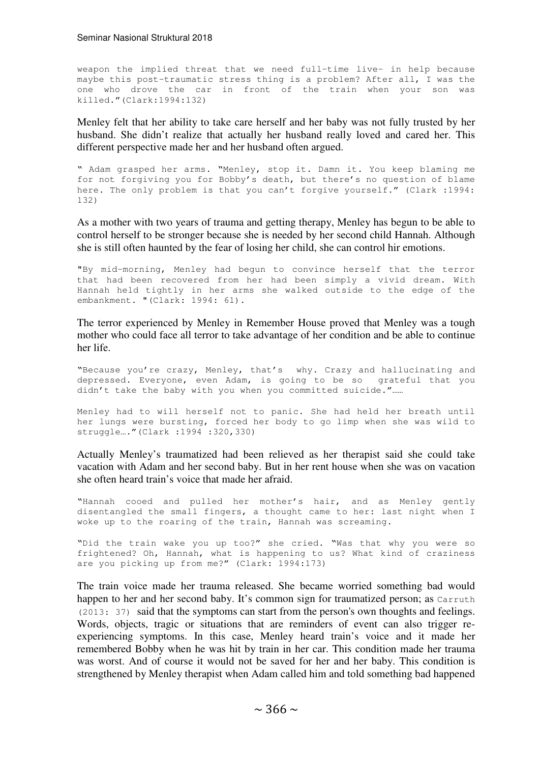weapon the implied threat that we need full-time live- in help because maybe this post-traumatic stress thing is a problem? After all, I was the one who drove the car in front of the train when your son was killed."(Clark:1994:132)

Menley felt that her ability to take care herself and her baby was not fully trusted by her husband. She didn't realize that actually her husband really loved and cared her. This different perspective made her and her husband often argued.

" Adam grasped her arms. "Menley, stop it. Damn it. You keep blaming me for not forgiving you for Bobby's death, but there's no question of blame here. The only problem is that you can't forgive yourself." (Clark :1994: 132)

As a mother with two years of trauma and getting therapy, Menley has begun to be able to control herself to be stronger because she is needed by her second child Hannah. Although she is still often haunted by the fear of losing her child, she can control hir emotions.

"By mid-morning, Menley had begun to convince herself that the terror that had been recovered from her had been simply a vivid dream. With Hannah held tightly in her arms she walked outside to the edge of the embankment. "(Clark: 1994: 61).

The terror experienced by Menley in Remember House proved that Menley was a tough mother who could face all terror to take advantage of her condition and be able to continue her life.

"Because you're crazy, Menley, that's why. Crazy and hallucinating and depressed. Everyone, even Adam, is going to be so grateful that you didn't take the baby with you when you committed suicide."......

Menley had to will herself not to panic. She had held her breath until her lungs were bursting, forced her body to go limp when she was wild to struggle…."(Clark :1994 :320,330)

Actually Menley's traumatized had been relieved as her therapist said she could take vacation with Adam and her second baby. But in her rent house when she was on vacation she often heard train's voice that made her afraid.

"Hannah cooed and pulled her mother's hair, and as Menley gently disentangled the small fingers, a thought came to her: last night when I woke up to the roaring of the train, Hannah was screaming.

"Did the train wake you up too?" she cried. "Was that why you were so frightened? Oh, Hannah, what is happening to us? What kind of craziness are you picking up from me?" (Clark: 1994:173)

The train voice made her trauma released. She became worried something bad would happen to her and her second baby. It's common sign for traumatized person; as Carruth (2013: 37) said that the symptoms can start from the person's own thoughts and feelings. Words, objects, tragic or situations that are reminders of event can also trigger reexperiencing symptoms. In this case, Menley heard train's voice and it made her remembered Bobby when he was hit by train in her car. This condition made her trauma was worst. And of course it would not be saved for her and her baby. This condition is strengthened by Menley therapist when Adam called him and told something bad happened